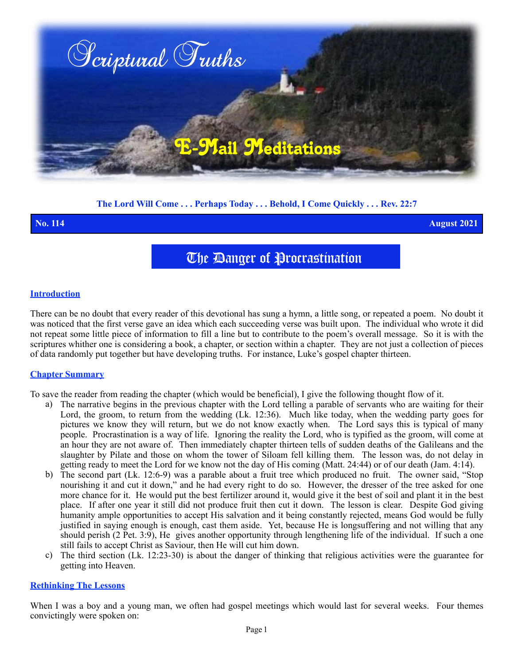

## **The Lord Will Come . . . Perhaps Today . . . Behold, I Come Quickly . . . Rev. 22:7**

**No. 114 August 2021**

# The Danger of Procrastination

### **Introduction**

There can be no doubt that every reader of this devotional has sung a hymn, a little song, or repeated a poem. No doubt it was noticed that the first verse gave an idea which each succeeding verse was built upon. The individual who wrote it did not repeat some little piece of information to fill a line but to contribute to the poem's overall message. So it is with the scriptures whither one is considering a book, a chapter, or section within a chapter. They are not just a collection of pieces of data randomly put together but have developing truths. For instance, Luke's gospel chapter thirteen.

### **Chapter Summary**

To save the reader from reading the chapter (which would be beneficial), I give the following thought flow of it.

- a) The narrative begins in the previous chapter with the Lord telling a parable of servants who are waiting for their Lord, the groom, to return from the wedding (Lk. 12:36). Much like today, when the wedding party goes for pictures we know they will return, but we do not know exactly when. The Lord says this is typical of many people. Procrastination is a way of life. Ignoring the reality the Lord, who is typified as the groom, will come at an hour they are not aware of. Then immediately chapter thirteen tells of sudden deaths of the Galileans and the slaughter by Pilate and those on whom the tower of Siloam fell killing them. The lesson was, do not delay in getting ready to meet the Lord for we know not the day of His coming (Matt. 24:44) or of our death (Jam. 4:14).
- b) The second part (Lk. 12:6-9) was a parable about a fruit tree which produced no fruit. The owner said, "Stop nourishing it and cut it down," and he had every right to do so. However, the dresser of the tree asked for one more chance for it. He would put the best fertilizer around it, would give it the best of soil and plant it in the best place. If after one year it still did not produce fruit then cut it down. The lesson is clear. Despite God giving humanity ample opportunities to accept His salvation and it being constantly rejected, means God would be fully justified in saying enough is enough, cast them aside. Yet, because He is longsuffering and not willing that any should perish (2 Pet. 3:9), He gives another opportunity through lengthening life of the individual. If such a one still fails to accept Christ as Saviour, then He will cut him down.
- c) The third section (Lk. 12:23-30) is about the danger of thinking that religious activities were the guarantee for getting into Heaven.

### **Rethinking The Lessons**

When I was a boy and a young man, we often had gospel meetings which would last for several weeks. Four themes convictingly were spoken on: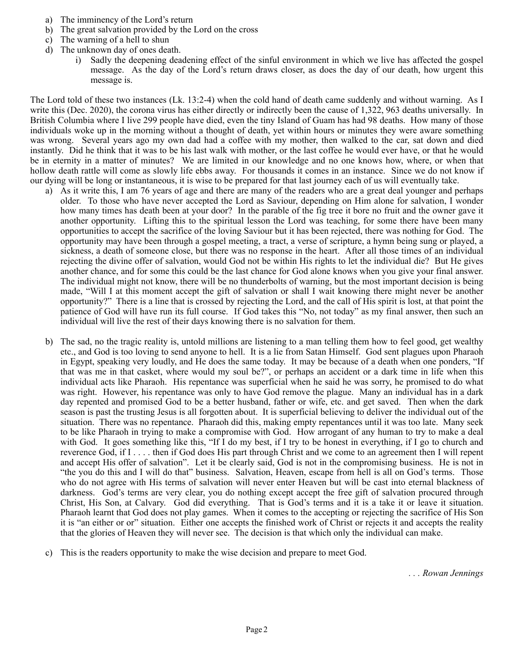- a) The imminency of the Lord's return
- b) The great salvation provided by the Lord on the cross
- c) The warning of a hell to shun
- d) The unknown day of ones death.
	- i) Sadly the deepening deadening effect of the sinful environment in which we live has affected the gospel message. As the day of the Lord's return draws closer, as does the day of our death, how urgent this message is.

The Lord told of these two instances (Lk. 13:2-4) when the cold hand of death came suddenly and without warning. As I write this (Dec. 2020), the corona virus has either directly or indirectly been the cause of 1,322, 963 deaths universally. In British Columbia where I live 299 people have died, even the tiny Island of Guam has had 98 deaths. How many of those individuals woke up in the morning without a thought of death, yet within hours or minutes they were aware something was wrong. Several years ago my own dad had a coffee with my mother, then walked to the car, sat down and died instantly. Did he think that it was to be his last walk with mother, or the last coffee he would ever have, or that he would be in eternity in a matter of minutes? We are limited in our knowledge and no one knows how, where, or when that hollow death rattle will come as slowly life ebbs away. For thousands it comes in an instance. Since we do not know if our dying will be long or instantaneous, it is wise to be prepared for that last journey each of us will eventually take.

- a) As it write this, I am 76 years of age and there are many of the readers who are a great deal younger and perhaps older. To those who have never accepted the Lord as Saviour, depending on Him alone for salvation, I wonder how many times has death been at your door? In the parable of the fig tree it bore no fruit and the owner gave it another opportunity. Lifting this to the spiritual lesson the Lord was teaching, for some there have been many opportunities to accept the sacrifice of the loving Saviour but it has been rejected, there was nothing for God. The opportunity may have been through a gospel meeting, a tract, a verse of scripture, a hymn being sung or played, a sickness, a death of someone close, but there was no response in the heart. After all those times of an individual rejecting the divine offer of salvation, would God not be within His rights to let the individual die? But He gives another chance, and for some this could be the last chance for God alone knows when you give your final answer. The individual might not know, there will be no thunderbolts of warning, but the most important decision is being made, "Will I at this moment accept the gift of salvation or shall I wait knowing there might never be another opportunity?" There is a line that is crossed by rejecting the Lord, and the call of His spirit is lost, at that point the patience of God will have run its full course. If God takes this "No, not today" as my final answer, then such an individual will live the rest of their days knowing there is no salvation for them.
- b) The sad, no the tragic reality is, untold millions are listening to a man telling them how to feel good, get wealthy etc., and God is too loving to send anyone to hell. It is a lie from Satan Himself. God sent plagues upon Pharaoh in Egypt, speaking very loudly, and He does the same today. It may be because of a death when one ponders, "If that was me in that casket, where would my soul be?", or perhaps an accident or a dark time in life when this individual acts like Pharaoh. His repentance was superficial when he said he was sorry, he promised to do what was right. However, his repentance was only to have God remove the plague. Many an individual has in a dark day repented and promised God to be a better husband, father or wife, etc. and get saved. Then when the dark season is past the trusting Jesus is all forgotten about. It is superficial believing to deliver the individual out of the situation. There was no repentance. Pharaoh did this, making empty repentances until it was too late. Many seek to be like Pharaoh in trying to make a compromise with God. How arrogant of any human to try to make a deal with God. It goes something like this, "If I do my best, if I try to be honest in everything, if I go to church and reverence God, if I . . . . then if God does His part through Christ and we come to an agreement then I will repent and accept His offer of salvation". Let it be clearly said, God is not in the compromising business. He is not in "the you do this and I will do that" business. Salvation, Heaven, escape from hell is all on God's terms. Those who do not agree with His terms of salvation will never enter Heaven but will be cast into eternal blackness of darkness. God's terms are very clear, you do nothing except accept the free gift of salvation procured through Christ, His Son, at Calvary. God did everything. That is God's terms and it is a take it or leave it situation. Pharaoh learnt that God does not play games. When it comes to the accepting or rejecting the sacrifice of His Son it is "an either or or" situation. Either one accepts the finished work of Christ or rejects it and accepts the reality that the glories of Heaven they will never see. The decision is that which only the individual can make.
- c) This is the readers opportunity to make the wise decision and prepare to meet God.

*. . . Rowan Jennings*